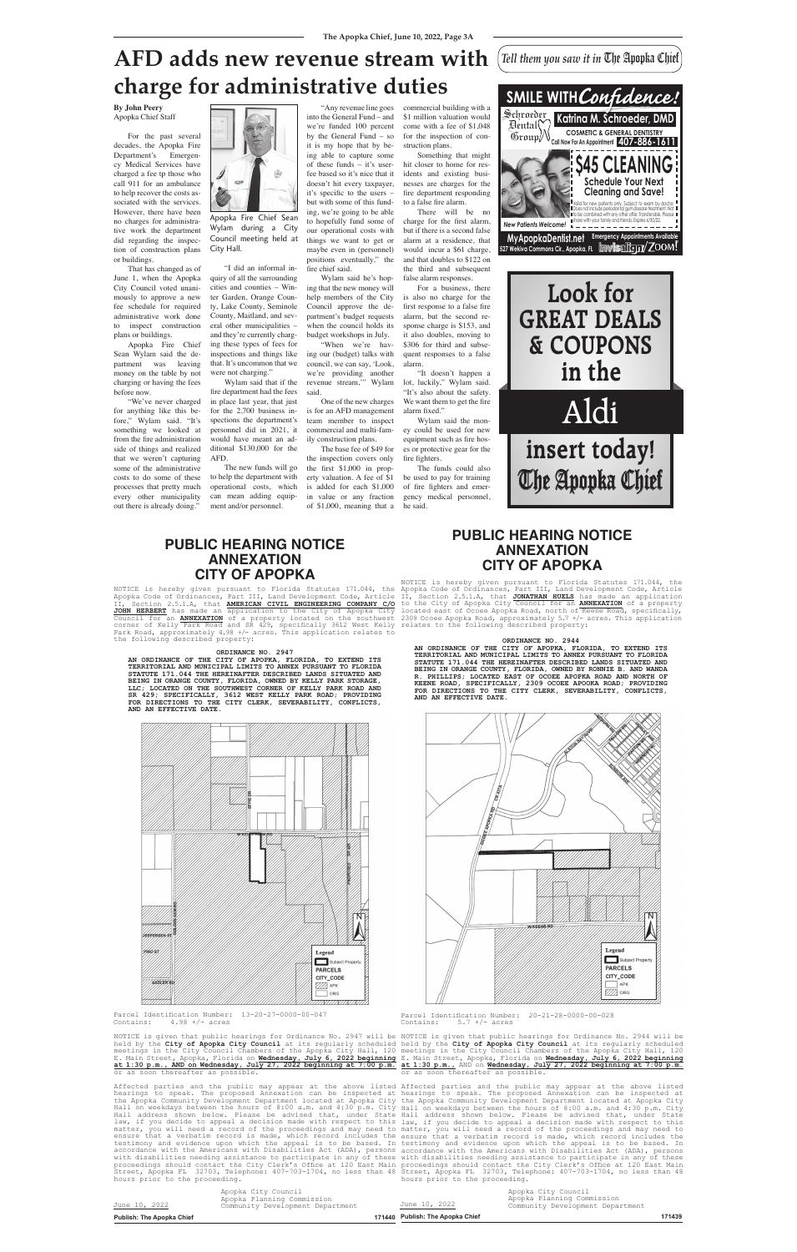#### **By John Peery** Apopka Chief Staff

For the past several decades, the Apopka Fire Department's Emergency Medical Services have charged a fee tp those who call 911 for an ambulance to help recover the costs associated with the services. However, there have been no charges for administrative work the department did regarding the inspection of construction plans or buildings.

That has changed as of June 1, when the Apopka City Council voted unanimously to approve a new fee schedule for required administrative work done to inspect construction plans or buildings.

Apopka Fire Chief Sean Wylam said the department was leaving money on the table by not charging or having the fees before now.

> The new funds will go the to help the department with operational costs, which can mean adding equipment and/or personnel.

into the General Fund – and we're funded 100 percent by the General Fund  $-$  so it is my hope that by being able to capture some of these funds – it's userfee based so it's nice that it doesn't hit every taxpayer, it's specific to the users – but with some of this funding, we're going to be able I fire Chief Sean to hopefully fund some of combined with your family and friends. our operational costs with things we want to get or all **fall. 527** maybe even in (personnel) positions eventually," the fire chief said. specific to the users

"We've never charged for anything like this before," Wylam said. "It's something we looked at from the fire administration side of things and realized that we weren't capturing some of the administrative costs to do some of these processes that pretty much every other municipality out there is already doing."

Wylam said he's hoping that the new money will - Win-<br> **Look for Look for City**<br> **Coun-**<br> **Look for** *L***ook for** *City* Council approve the deunty, Seminole Council approve the de-<br>
itland, and sev-<br>
partment's budget requests<br>
nunicipalities – when the council holds its when the council holds its budget workshops in July. recipanties – when the council holds its<br>
rently charg-<br> **Katrick** budget workshops in July.<br> **Katrick** of fees for "When we're hav-Frame *Cuy*<br> *Council* approve the de-<br>
partment's budget requests a<br>
when the council holds its

r "When we're having our (budget) talks with<br>we council, we can say, 'Look, council, we can say, 'Look, we're providing another revenue stream,<sup>'"</sup> Wylam said. **Call Robinson** Four Counter Counter Counter Counter Counter Counter Counter Counter Counter Counter Counter Counter Counter Counter Counter Counter Counter Counter Counter Counter Counter Counter Counter Counter Counter C

One of the new charges es said.<br>
Said.<br>
The Sabson of the new charges<br>
n-<br>
is for an AFD management team member to inspect commercial and multi-famin 2021, it commercial and multi-fiventual and ad-<br> **insert in the** integration plans.<br> **i**nserting the set of \$49

"I did an informal inquiry of all the surrounding cities and counties – Winter Garden, Orange County, Lake County, Seminole cy, Lake County, Semmore<br>County, Maitland, and several other municipalities – eral other municipalities –<br>and they're currently chargand they it currently enarg-<br>ing these types of fees for inspections and things like that. It's uncommon that we were not charging."

> The base fee of \$49 for e the inspection covers only the base lee of  $\frac{1}{2}$  both the inspection covers only<br>the inspection covers only<br>ew funds will go the first \$1,000 in propexternal valuation. A fee of \$1 costs, which is added for each \$1,000 is added for each \$1,000 in value or any fraction of \$1,000, meaning that a

Wylam said that if the fire department had the fees in place last year, that just for the 2,700 business inspections the department's personnel did in 2021, it would have meant an additional \$130,000 for the  $\triangle$ AFD.

## **AFD adds new revenue stream with**  charge for administrative duties *Confinering configures CAU*

"Any revenue line goes commercial building with a \$1 million valuation would come with a fee of \$1,048 for the inspection of construction plans.

NOTICE is hereby given pursuant to Florida Statutes 171.044, the Apopka Code of Ordinances, Part III, Land Development Code, Article<br> **The annual article Article Article Article** *Telephone and a series are a series* Section 2.5.1.A, that **AMERICAN CIVIL ENGINEERING COMPANY C/O JOHN HERBERT** has made an application to the City of Apopka City Council for an **ANNEXATION** of a property located on the southwest corner of Kelly Park Road and SR 429, specifically 3612 West Kelly Park Road, approximately 4.98 +/- acres. This application relates to and the Islaming asset the following described property:

Something that might hit closer to home for residents and existing businesses are charges for the fire department responding to a false fire alarm.

There will be no charge for the first alarm, but if there is a second false alarm at a residence, that would incur a \$61 charge, and that doubles to \$122 on the third and subsequent false alarm responses.

For a business, there is also no charge for the first response to a false fire alarm, but the second response charge is \$153, and it also doubles, moving to \$306 for third and subsequent responses to a false alarm.

"It doesn't happen a lot, luckily," Wylam said. "It's also about the safety. We want them to get the fire alarm fixed."

Wylam said the money could be used for new equipment such as fire hoses or protective gear for the fire fighters.

The funds could also be used to pay for training of fire fighters and emergency medical personnel, he said.



Wylam during a City Council meeting held at thi City Hall.

**AN ORDINANCE OF THE CITY OF APOPKA, FLORIDA, TO EXTEND ITS TERRITORIAL AND MUNICIPAL LIMITS TO ANNEX PURSUANT TO FLORIDA STATUTE 171.044 THE HEREINAFTER DESCRIBED LANDS SITUATED AND BEING IN ORANGE COUNTY, FLORIDA, OWNED BY RONNIE B. AND WANDA BEING IN ORANGE COUNTY, FLORIDA, OWNED BY RONNIE ARD WANDA BEING IN ORANGE COUNTY, FLORIDA, OWNED BY RONDA B. AND WANDA OF ALL PHILLIPS; LOCATED EAST OF OCOEE APOOKA ROAD AND NORTH OF REERE ROAD . SPECIFICALLY. 2309 OCOEE KEENE ROAD, SPECIFICALLY, 2309 OCOEE APOOKA ROAD; PROVIDING**  FOR DIRECTIONS TO THE CITY CLERK, SEVERABILITY, CONFLICTS,<br>AND AN EFFECTIVE DATE.<br>. **AND AN EFFECTIVE DATE.** O. 2944<br>PFKA, FLORIDA, TO EXTE<br>TO ANNEX PURSUANT TO F



Parcel Identification Number:  $13-20-27-0000-00-047$ <br>Contains:  $4.98 +/-$  acres  $4.98$  +/- acres



Parcel Identification Number:  $20-21-28-0000-00-028$ <br>Contains:  $5.7 +/-$  acres  $5.7$  +/- acres

Affected parties and the public may appear at the above listed Affected parties and the public may appear at the above listed hearings to speak. The proposed Annexation can be inspected at hearings to speak. The proposed Annexation can be inspected at the Apopka Community Development Department located at Apopka City the Apopka Community Development Department located at Apopka City Hall on weekdays between the hours of 8:00 a.m. and 4:30 p.m. City Hall on weekdays between the hours of 8:00 a.m. and 4:30 p.m. City Hall address shown below. Please be advised that, under State law, if you decide to appeal a decision made with respect to this matter, you will need a record of the proceedings and may need to matter, you will need a record of the proceedings and may need to ensure that a verbatim record is made, which record includes the ensure that a verbatim record is made, which record includes the testimony and evidence upon which the appeal is to be based. In testimony and evidence upon which the appeal is to be based. In accordance with the Americans with Disabilities Act (ADA), persons accordance with the Americans with Disabilities Act (ADA), persons with disabilities needing assistance to participate in any of these with disabilities needing assistance to participate in any of these proceedings should contact the City Clerk**'**s Office at 120 East Main Street, Apopka FL 32703, Telephone: 407-703-1704, no less than 48 hours prior to the proceeding.

NOTICE is given that public hearings for Ordinance No. 2947 will be NOTICE is given that public hearings for Ordinance No. 2944 will be held by the **City of Apopka City Council** at its regularly scheduled held by the **City of Apopka City Council** at its regularly scheduled meetings in the City Council Chambers of the Apopka City Hall, 120 E. Main Street, Apopka, Florida on **Wednesday, July 6, 2022 beginning at 1:30 p.m., AND on Wednesday, July 27, 2022 beginning at 7:00 p.m.** or as soon thereafter as possible. meetings in the City Council Chambers of the Apopka City Hall, 120 E. Main Street, Apopka, Florida on **Wednesday, July 6, 2022 beginning at 1:30 p.m.,** AND on **Wednesday, July 27, 2022 beginning at 7:00 p.m.** or as soon thereafter as possible.

#### **ORDINANCE NO. 2947**

| <b>Publish: The Apopka Chief</b> |                                                                                       | 171440 Publish: The Apopka Chief |                                                                                       | 171439 |
|----------------------------------|---------------------------------------------------------------------------------------|----------------------------------|---------------------------------------------------------------------------------------|--------|
| June 10, 2022                    | Apopka City Council<br>Apopka Planning Commission<br>Community Development Department | June 10, 2022                    | Apopka City Council<br>Apopka Planning Commission<br>Community Development Department |        |

**AN ORDINANCE OF THE CITY OF APOPKA, FLORIDA, TO EXTEND ITS**  AN ORDINANCE OF THE CITI OF AFOFRA, FLORIDA, TO EXTEND ITS<br>TERRITORIAL AND MUNICIPAL LIMITS TO ANNEX PURSUANT TO FLORIDA<br>STATUTE 171 044 THE HEREINAFTER DESCRIBED LANDS SITUATED AND **STATUTE 171.044 THE HEREINAFTER DESCRIBED LANDS SITUATED AND BEING IN ORANGE COUNTY, FLORIDA, OWNED BY KELLY PARK STORAGE,**  BEING IN ORANGE COUNTY, FLORIDA, OWNED BY KELLY PARK STORAGE, **AND BEENE AND AND AND AND AND AND AND AND** FOR D<br>LLC; LOCATED ON THE SOUTHWEST CORNER OF KELLY PARK ROAD AND **AND FOR D SR 429; SPECIFICALLY, 3612 WEST KELLY PARK ROAD; PROVIDING FOR DIRECTIONS TO THE CITY CLERK, SEVERABILITY, CONFLICTS, AND AN EFFECTIVE DATE.**

### **PUBLIC HEARING NOTICE ANNEXATION Important to Check the Following CITY OF APOPKA Name**

Hall address shown below. Please be advised that, under State law, if you decide to appeal a decision made with respect to this proceedings should contact the City Clerk's Office at 120 East Main Street, Apopka FL 32703, Telephone: 407-703-1704, no less than 48 hours prior to the proceeding.

#### **PUBLIC HEARING NOTICE ANNEXATION CITY OF APOPKA** Planter Chief Chief Chief Chief Chief Chief Chief Chief Chief Chief Chief Chief Chief Chief Chief Chief Chief **PROOF APPROVAL Please Sign Below**

NOTICE is hereby given pursuant to Florida Statutes 171.044, the Apopka Code of Ordinances, Part III, Land Development Code, Article<br>The Sasting of Part that **Fourwary www.c**haracter.com.com/institut II, Section 2.5.1.A, that **JONATHAN HUELS** has made an application **to the City of Apopka City Council for an <b>ANNEXATION** of a property is a contract of a contract of Connect Property located east of Ocoee Apopka Road, north of Keene Road, specifically, CITY OF Apopka CITY Tocated east of ocoee Apopka Road, Hofth of Reehe Road, Specificatly,<br>ed on the southwest 2309 Ocoee Apopka Road, approximately 5.7 +/- acres. This application mest 2505 occee Apopha Road, approximately 5.7 17 & Relly relates to the following described property:

#### **ORDINANCE NO. 2944**

# **Look for GREAT DEALS & COUPONS in the**

Aldi

**insert today!** The Apopka Chief



*Tell them you saw it in* The Apopka Chief